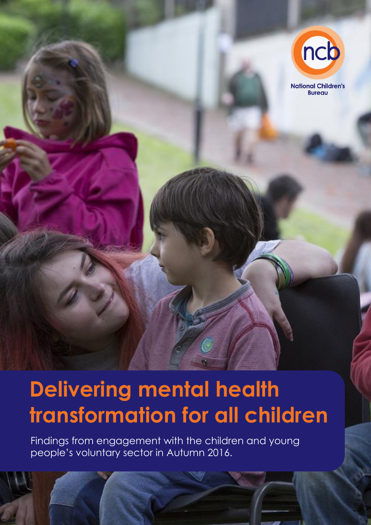

Findings from engagement with the children and young people's voluntary sector in Autumn 2016.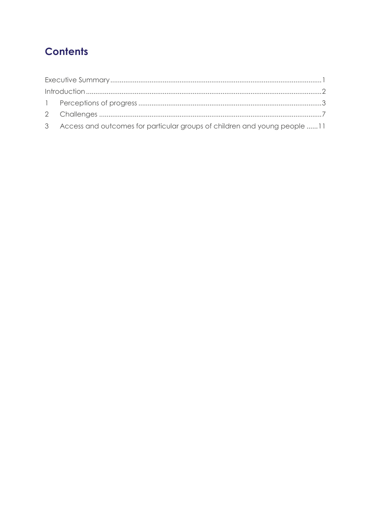## **Contents**

| 3 Access and outcomes for particular groups of children and young people 11 |  |
|-----------------------------------------------------------------------------|--|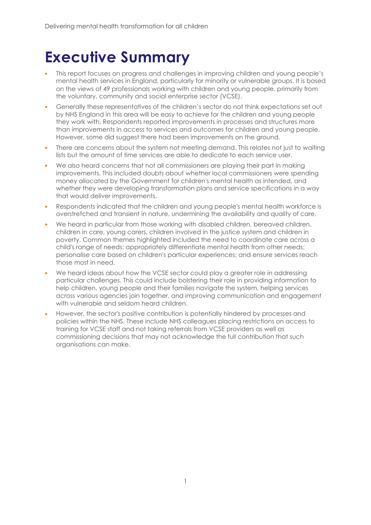## <span id="page-2-0"></span>**Executive Summary**

- This report focuses on progress and challenges in improving children and young people's mental health services in England, particularly for minority or vulnerable groups. It is based on the views of 49 professionals working with children and young people, primarily from the voluntary, community and social enterprise sector (VCSE).
- Generally these representatives of the children's sector do not think expectations set out by NHS England in this area will be easy to achieve for the children and young people they work with. Respondents reported improvements in processes and structures more than improvements in access to services and outcomes for children and young people. However, some did suggest there had been improvements on the ground.
- There are concerns about the system not meeting demand. This relates not just to waiting lists but the amount of time services are able to dedicate to each service user.
- We also heard concerns that not all commissioners are playing their part in making improvements. This included doubts about whether local commissioners were spending money allocated by the Government for children's mental health as intended, and whether they were developing transformation plans and service specifications in a way that would deliver improvements.
- Respondents indicated that the children and young people's mental health workforce is overstretched and transient in nature, undermining the availability and quality of care.
- We heard in particular from those working with disabled children, bereaved children, children in care, young carers, children involved in the justice system and children in poverty. Common themes highlighted included the need to coordinate care across a child's range of needs; appropriately differentiate mental health from other needs; personalise care based on children's particular experiences; and ensure services reach those most in need.
- We heard ideas about how the VCSE sector could play a greater role in addressing particular challenges. This could include bolstering their role in providing information to help children, young people and their families navigate the system, helping services across various agencies join together, and improving communication and engagement with vulnerable and seldom heard children.
- However, the sector's positive contribution is potentially hindered by processes and policies within the NHS. These include NHS colleagues placing restrictions on access to training for VCSE staff and not taking referrals from VCSE providers as well as commissioning decisions that may not acknowledge the full contribution that such organisations can make.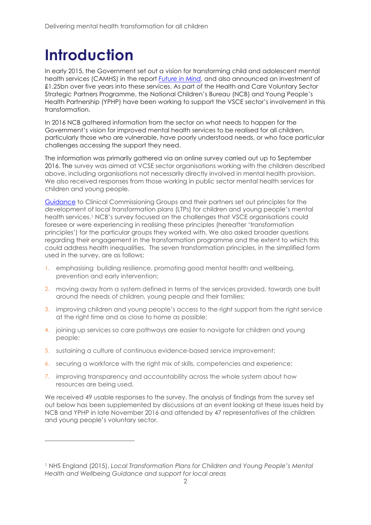## <span id="page-3-0"></span>**Introduction**

 $\overline{a}$ 

In early 2015, the Government set out a vision for transforming child and adolescent mental health services (CAMHS) in the report *[Future in Mind,](https://www.ncb.org.uk/resources-publications/resources/future-mind-briefing-children-young-peoples-voluntary-sector)* and also announced an investment of £1.25bn over five years into these services. As part of the Health and Care Voluntary Sector Strategic Partners Programme, the National Children's Bureau (NCB) and Young People's Health Partnership (YPHP) have been working to support the VSCE sector's involvement in this transformation.

In 2016 NCB gathered information from the sector on what needs to happen for the Government's vision for improved mental health services to be realised for all children, particularly those who are vulnerable, have poorly understood needs, or who face particular challenges accessing the support they need.

The information was primarily gathered via an online survey carried out up to September 2016. The survey was aimed at VCSE sector organisations working with the children described above, including organisations not necessarily directly involved in mental health provision. We also received responses from those working in public sector mental health services for children and young people.

[Guidance](https://www.england.nhs.uk/mental-health/cyp/transformation/) to Clinical Commissioning Groups and their partners set out principles for the development of local transformation plans (LTPs) for children and young people's mental health services. <sup>1</sup> NCB's survey focused on the challenges that VSCE organisations could foresee or were experiencing in realising these principles (hereafter 'transformation principles') for the particular groups they worked with. We also asked broader questions regarding their engagement in the transformation programme and the extent to which this could address health inequalities. The seven transformation principles, in the simplified form used in the survey, are as follows:

- 1. emphasising building resilience, promoting good mental health and wellbeing, prevention and early intervention;
- 2. moving away from a system defined in terms of the services provided, towards one built around the needs of children, young people and their families;
- 3. improving children and young people's access to the right support from the right service at the right time and as close to home as possible;
- 4. joining up services so care pathways are easier to navigate for children and young people;
- 5. sustaining a culture of continuous evidence-based service improvement;
- 6. securing a workforce with the right mix of skills, competencies and experience;
- 7. improving transparency and accountability across the whole system about how resources are being used.

We received 49 usable responses to the survey. The analysis of findings from the survey set out below has been supplemented by discussions at an event looking at these issues held by NCB and YPHP in late November 2016 and attended by 47 representatives of the children and young people's voluntary sector.

<sup>1</sup> NHS England (2015), *Local Transformation Plans for Children and Young People's Mental Health and Wellbeing Guidance and support for local areas*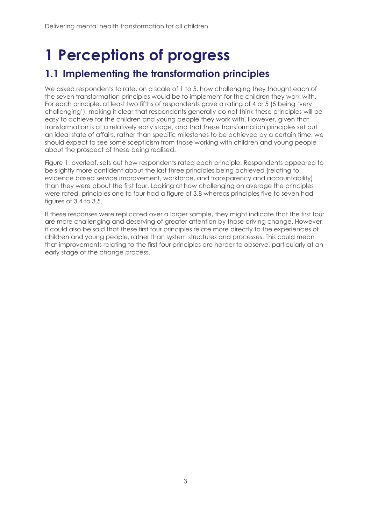## <span id="page-4-0"></span>**1 Perceptions of progress**

### **1.1 Implementing the transformation principles**

We asked respondents to rate, on a scale of 1 to 5, how challenging they thought each of the seven transformation principles would be to implement for the children they work with. For each principle, at least two fifths of respondents gave a rating of 4 or 5 (5 being 'very challenging'), making it clear that respondents generally do not think these principles will be easy to achieve for the children and young people they work with. However, given that transformation is at a relatively early stage, and that these transformation principles set out an ideal state of affairs, rather than specific milestones to be achieved by a certain time, we should expect to see some scepticism from those working with children and young people about the prospect of these being realised.

Figure 1, overleaf, sets out how respondents rated each principle. Respondents appeared to be slightly more confident about the last three principles being achieved (relating to evidence based service improvement, workforce, and transparency and accountability) than they were about the first four. Looking at how challenging on average the principles were rated, principles one to four had a figure of 3.8 whereas principles five to seven had figures of 3.4 to 3.5.

If these responses were replicated over a larger sample, they might indicate that the first four are more challenging and deserving of greater attention by those driving change. However, it could also be said that these first four principles relate more directly to the experiences of children and young people, rather than system structures and processes. This could mean that improvements relating to the first four principles are harder to observe, particularly at an early stage of the change process.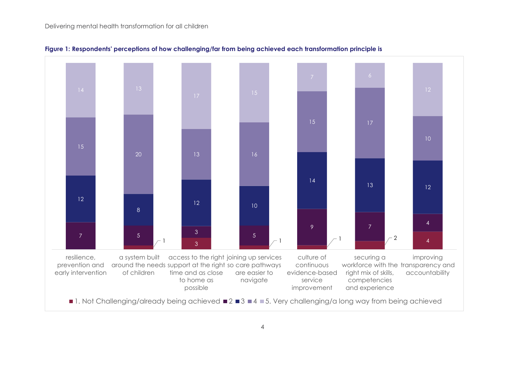

**Figure 1: Respondents' perceptions of how challenging/far from being achieved each transformation principle is**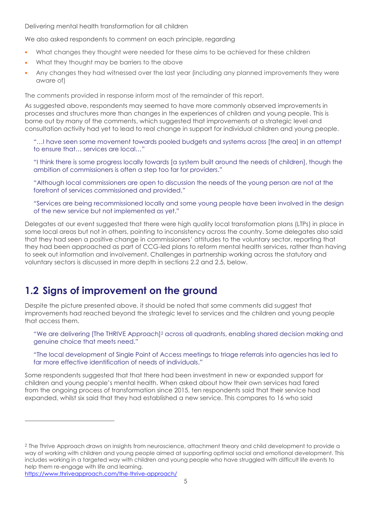We also asked respondents to comment on each principle, regarding

- What changes they thought were needed for these aims to be achieved for these children
- What they thought may be barriers to the above
- Any changes they had witnessed over the last year (including any planned improvements they were aware of)

The comments provided in response inform most of the remainder of this report.

As suggested above, respondents may seemed to have more commonly observed improvements in processes and structures more than changes in the experiences of children and young people. This is borne out by many of the comments, which suggested that improvements at a strategic level and consultation activity had yet to lead to real change in support for individual children and young people.

"…I have seen some movement towards pooled budgets and systems across [the area] in an attempt to ensure that… services are local…"

"I think there is some progress locally towards [a system built around the needs of children], though the ambition of commissioners is often a step too far for providers."

"Although local commissioners are open to discussion the needs of the young person are not at the forefront of services commissioned and provided."

"Services are being recommissioned locally and some young people have been involved in the design of the new service but not implemented as yet."

Delegates at our event suggested that there were high quality local transformation plans (LTPs) in place in some local areas but not in others, pointing to inconsistency across the country. Some delegates also said that they had seen a positive change in commissioners' attitudes to the voluntary sector, reporting that they had been approached as part of CCG-led plans to reform mental health services, rather than having to seek out information and involvement. Challenges in partnership working across the statutory and voluntary sectors is discussed in more depth in sections [2.2](#page-8-1) and [2.5,](#page-9-0) below.

### **1.2 Signs of improvement on the ground**

Despite the picture presented above, it should be noted that some comments did suggest that improvements had reached beyond the strategic level to services and the children and young people that access them.

"We are delivering [The THRIVE Approach] <sup>2</sup> across all quadrants, enabling shared decision making and genuine choice that meets need."

"The local development of Single Point of Access meetings to triage referrals into agencies has led to far more effective identification of needs of individuals."

Some respondents suggested that that there had been investment in new or expanded support for children and young people's mental health. When asked about how their own services had fared from the ongoing process of transformation since 2015, ten respondents said that their service had expanded, whilst six said that they had established a new service. This compares to 16 who said

<https://www.thriveapproach.com/the-thrive-approach/>

 $\overline{a}$ 

<sup>2</sup> The Thrive Approach draws on insights from neuroscience, attachment theory and child development to provide a way of working with children and young people aimed at supporting optimal social and emotional development. This includes working in a targeted way with children and young people who have struggled with difficult life events to help them re-engage with life and learning.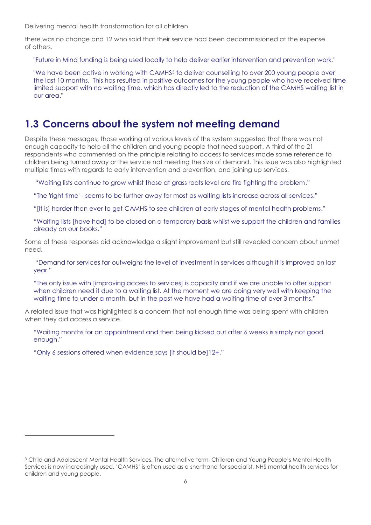there was no change and 12 who said that their service had been decommissioned at the expense of others.

"Future in Mind funding is being used locally to help deliver earlier intervention and prevention work."

"We have been active in working with CAMHS<sup>3</sup> to deliver counselling to over 200 young people over the last 10 months. This has resulted in positive outcomes for the young people who have received time limited support with no waiting time, which has directly led to the reduction of the CAMHS waiting list in our area."

#### **1.3 Concerns about the system not meeting demand**

Despite these messages, those working at various levels of the system suggested that there was not enough capacity to help all the children and young people that need support. A third of the 21 respondents who commented on the principle relating to access to services made some reference to children being turned away or the service not meeting the size of demand. This issue was also highlighted multiple times with regards to early intervention and prevention, and joining up services.

"Waiting lists continue to grow whilst those at grass roots level are fire fighting the problem."

"The 'right time' - seems to be further away for most as waiting lists increase across all services."

"[It is] harder than ever to get CAMHS to see children at early stages of mental health problems."

"Waiting lists [have had] to be closed on a temporary basis whilst we support the children and families already on our books."

Some of these responses did acknowledge a slight improvement but still revealed concern about unmet need.

"Demand for services far outweighs the level of investment in services although it is improved on last year."

"The only issue with [improving access to services] is capacity and if we are unable to offer support when children need it due to a waiting list. At the moment we are doing very well with keeping the waiting time to under a month, but in the past we have had a waiting time of over 3 months."

A related issue that was highlighted is a concern that not enough time was being spent with children when they did access a service.

"Waiting months for an appointment and then being kicked out after 6 weeks is simply not good enough."

"Only 6 sessions offered when evidence says [it should be]12+."

 $\overline{a}$ 

<sup>&</sup>lt;sup>3</sup> Child and Adolescent Mental Health Services. The alternative term, Children and Young People's Mental Health Services is now increasingly used. 'CAMHS' is often used as a shorthand for specialist, NHS mental health services for children and young people.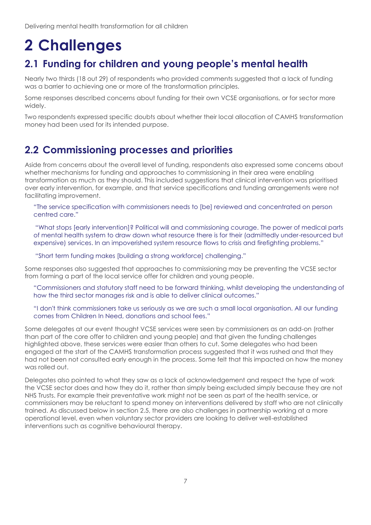## <span id="page-8-0"></span>**2 Challenges**

## **2.1 Funding for children and young people's mental health**

Nearly two thirds (18 out 29) of respondents who provided comments suggested that a lack of funding was a barrier to achieving one or more of the transformation principles.

Some responses described concerns about funding for their own VCSE organisations, or for sector more widely.

Two respondents expressed specific doubts about whether their local allocation of CAMHS transformation money had been used for its intended purpose.

### <span id="page-8-1"></span>**2.2 Commissioning processes and priorities**

Aside from concerns about the overall level of funding, respondents also expressed some concerns about whether mechanisms for funding and approaches to commissioning in their area were enabling transformation as much as they should. This included suggestions that clinical intervention was prioritised over early intervention, for example, and that service specifications and funding arrangements were not facilitating improvement.

"The service specification with commissioners needs to [be] reviewed and concentrated on person centred care."

"What stops [early intervention]? Political will and commissioning courage. The power of medical parts of mental health system to draw down what resource there is for their (admittedly under-resourced but expensive) services. In an impoverished system resource flows to crisis and firefighting problems."

"Short term funding makes [building a strong workforce] challenging."

Some responses also suggested that approaches to commissioning may be preventing the VCSE sector from forming a part of the local service offer for children and young people.

"Commissioners and statutory staff need to be forward thinking, whilst developing the understanding of how the third sector manages risk and is able to deliver clinical outcomes."

"I don't think commissioners take us seriously as we are such a small local organisation. All our funding comes from Children In Need, donations and school fees."

Some delegates at our event thought VCSE services were seen by commissioners as an add-on (rather than part of the core offer to children and young people) and that given the funding challenges highlighted above, these services were easier than others to cut. Some delegates who had been engaged at the start of the CAMHS transformation process suggested that it was rushed and that they had not been not consulted early enough in the process. Some felt that this impacted on how the money was rolled out.

Delegates also pointed to what they saw as a lack of acknowledgement and respect the type of work the VCSE sector does and how they do it, rather than simply being excluded simply because they are not NHS Trusts. For example their preventative work might not be seen as part of the health service, or commissioners may be reluctant to spend money on interventions delivered by staff who are not clinically trained. As discussed below in section [2.5,](#page-9-0) there are also challenges in partnership working at a more operational level, even when voluntary sector providers are looking to deliver well-established interventions such as cognitive behavioural therapy.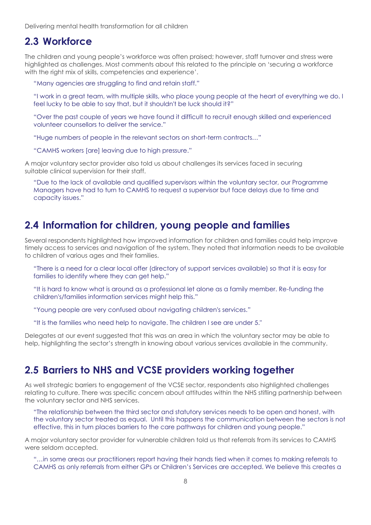#### **2.3 Workforce**

The children and young people's workforce was often praised; however, staff turnover and stress were highlighted as challenges. Most comments about this related to the principle on 'securing a workforce with the right mix of skills, competencies and experience'.

"Many agencies are struggling to find and retain staff."

"I work in a great team, with multiple skills, who place young people at the heart of everything we do. I feel lucky to be able to say that, but it shouldn't be luck should it?"

"Over the past couple of years we have found it difficult to recruit enough skilled and experienced volunteer counsellors to deliver the service."

"Huge numbers of people in the relevant sectors on short-term contracts…"

"CAMHS workers [are] leaving due to high pressure."

A major voluntary sector provider also told us about challenges its services faced in securing suitable clinical supervision for their staff.

"Due to the lack of available and qualified supervisors within the voluntary sector, our Programme Managers have had to turn to CAMHS to request a supervisor but face delays due to time and capacity issues."

#### **2.4 Information for children, young people and families**

Several respondents highlighted how improved information for children and families could help improve timely access to services and navigation of the system. They noted that information needs to be available to children of various ages and their families.

"There is a need for a clear local offer (directory of support services available) so that it is easy for families to identify where they can get help."

"It is hard to know what is around as a professional let alone as a family member. Re-funding the children's/families information services might help this."

"Young people are very confused about navigating children's services."

"It is the families who need help to navigate. The children I see are under 5."

Delegates at our event suggested that this was an area in which the voluntary sector may be able to help, highlighting the sector's strength in knowing about various services available in the community.

#### <span id="page-9-0"></span>**2.5 Barriers to NHS and VCSE providers working together**

As well strategic barriers to engagement of the VCSE sector, respondents also highlighted challenges relating to culture. There was specific concern about attitudes within the NHS stifling partnership between the voluntary sector and NHS services.

"The relationship between the third sector and statutory services needs to be open and honest, with the voluntary sector treated as equal. Until this happens the communication between the sectors is not effective, this in turn places barriers to the care pathways for children and young people."

A major voluntary sector provider for vulnerable children told us that referrals from its services to CAMHS were seldom accepted.

"…in some areas our practitioners report having their hands tied when it comes to making referrals to CAMHS as only referrals from either GPs or Children's Services are accepted. We believe this creates a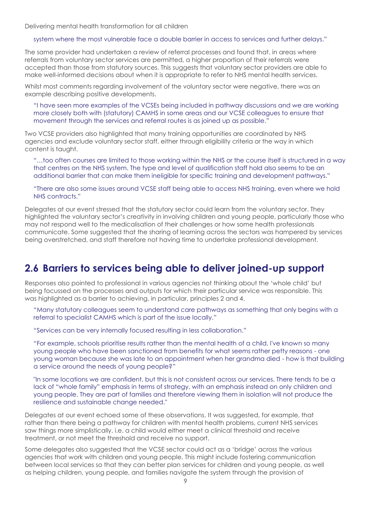#### system where the most vulnerable face a double barrier in access to services and further delays."

The same provider had undertaken a review of referral processes and found that, in areas where referrals from voluntary sector services are permitted, a higher proportion of their referrals were accepted than those from statutory sources. This suggests that voluntary sector providers are able to make well-informed decisions about when it is appropriate to refer to NHS mental health services.

Whilst most comments regarding involvement of the voluntary sector were negative, there was an example describing positive developments.

"I have seen more examples of the VCSEs being included in pathway discussions and we are working more closely both with (statutory) CAMHS in some areas and our VCSE colleagues to ensure that movement through the services and referral routes is as joined up as possible."

Two VCSE providers also highlighted that many training opportunities are coordinated by NHS agencies and exclude voluntary sector staff, either through eligibility criteria or the way in which content is taught.

"…too often courses are limited to those working within the NHS or the course itself is structured in a way that centres on the NHS system. The type and level of qualification staff hold also seems to be an additional barrier that can make them ineligible for specific training and development pathways."

"There are also some issues around VCSE staff being able to access NHS training, even where we hold NHS contracts."

Delegates at our event stressed that the statutory sector could learn from the voluntary sector. They highlighted the voluntary sector's creativity in involving children and young people, particularly those who may not respond well to the medicalisation of their challenges or how some health professionals communicate. Some suggested that the sharing of learning across the sectors was hampered by services being overstretched, and staff therefore not having time to undertake professional development.

#### **2.6 Barriers to services being able to deliver joined-up support**

Responses also pointed to professional in various agencies not thinking about the 'whole child' but being focussed on the processes and outputs for which their particular service was responsible. This was highlighted as a barrier to achieving, in particular, principles 2 and 4.

"Many statutory colleagues seem to understand care pathways as something that only begins with a referral to specialist CAMHS which is part of the issue locally."

"Services can be very internally focused resulting in less collaboration."

"For example, schools prioritise results rather than the mental health of a child. I've known so many young people who have been sanctioned from benefits for what seems rather petty reasons - one young woman because she was late to an appointment when her grandma died - how is that building a service around the needs of young people?"

"In some locations we are confident, but this is not consistent across our services. There tends to be a lack of "whole family" emphasis in terms of strategy, with an emphasis instead on only children and young people. They are part of families and therefore viewing them in isolation will not produce the resilience and sustainable change needed."

Delegates at our event echoed some of these observations. It was suggested, for example, that rather than there being a pathway for children with mental health problems, current NHS services saw things more simplistically, i.e. a child would either meet a clinical threshold and receive treatment, or not meet the threshold and receive no support.

Some delegates also suggested that the VCSE sector could act as a 'bridge' across the various agencies that work with children and young people. This might include fostering communication between local services so that they can better plan services for children and young people, as well as helping children, young people, and families navigate the system through the provision of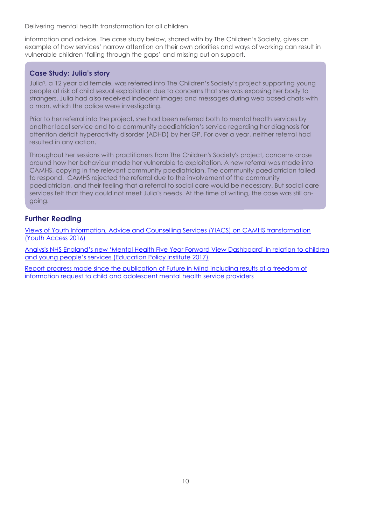information and advice. The case study below, shared with by The Children's Society, gives an example of how services' narrow attention on their own priorities and ways of working can result in vulnerable children 'falling through the gaps' and missing out on support.

#### **Case Study: Julia's story**

Julia**1**, a 12 year old female, was referred into The Children's Society's project supporting young people at risk of child sexual exploitation due to concerns that she was exposing her body to strangers. Julia had also received indecent images and messages during web based chats with a man, which the police were investigating.

Prior to her referral into the project, she had been referred both to mental health services by another local service and to a community paediatrician's service regarding her diagnosis for attention deficit hyperactivity disorder (ADHD) by her GP. For over a year, neither referral had resulted in any action.

Throughout her sessions with practitioners from The Children's Society's project, concerns arose around how her behaviour made her vulnerable to exploitation. A new referral was made into CAMHS, copying in the relevant community paediatrician. The community paediatrician failed to respond. CAMHS rejected the referral due to the involvement of the community paediatrician, and their feeling that a referral to social care would be necessary. But social care services felt that they could not meet Julia's needs. At the time of writing, the case was still ongoing.

#### **Further Reading**

[Views of Youth Information, Advice and Counselling Services \(YIACS\) on CAMHS transformation](http://www.youthaccess.org.uk/resources/practice-resources/63-a-foot-in-the-door-vcs-providersa-view-of-camhs-transformation-)  [\(Youth Access 2016\)](http://www.youthaccess.org.uk/resources/practice-resources/63-a-foot-in-the-door-vcs-providersa-view-of-camhs-transformation-)

[Analysis NHS England's new 'Mental Health Five Year Forward View Dashboard' in relation to children](https://epi.org.uk/report/nhs-performance-childrens-mental-health/)  [and young people's services \(Education Policy Institute 2017\)](https://epi.org.uk/report/nhs-performance-childrens-mental-health/)

[Report progress made since the publication of Future in Mind including results of a freedom of](https://epi.org.uk/report/progress-challenges-in-transformation-of-young-peoples-mental-health/)  [information request to child and adolescent mental health service providers](https://epi.org.uk/report/progress-challenges-in-transformation-of-young-peoples-mental-health/)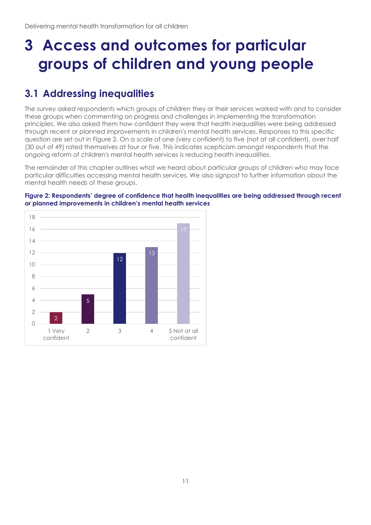## <span id="page-12-0"></span>**3 Access and outcomes for particular groups of children and young people**

## **3.1 Addressing inequalities**

The survey asked respondents which groups of children they or their services worked with and to consider these groups when commenting on progress and challenges in implementing the transformation principles. We also asked them how confident they were that health inequalities were being addressed through recent or planned improvements in children's mental health services. Responses to this specific question are set out in [Figure 2.](#page-12-1) On a scale of one (very confident) to five (not at all confident), over half (30 out of 49) rated themselves at four or five. This indicates scepticism amongst respondents that the ongoing reform of children's mental health services is reducing health inequalities.

The remainder of this chapter outlines what we heard about particular groups of children who may face particular difficulties accessing mental health services. We also signpost to further information about the mental health needs of these groups.

#### <span id="page-12-1"></span>**Figure 2: Respondents' degree of confidence that health inequalities are being addressed through recent or planned improvements in children's mental health services**

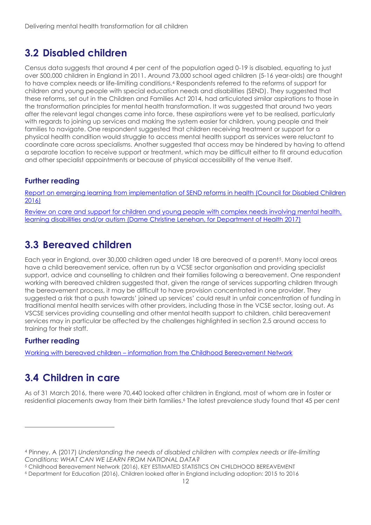## **3.2 Disabled children**

Census data suggests that around 4 per cent of the population aged 0-19 is disabled, equating to just over 500,000 children in England in 2011. Around 73,000 school aged children (5-16 year-olds) are thought to have complex needs or life-limiting conditions. <sup>4</sup> Respondents referred to the reforms of support for children and young people with special education needs and disabilities (SEND). They suggested that these reforms, set out in the Children and Families Act 2014, had articulated similar aspirations to those in the transformation principles for mental health transformation. It was suggested that around two years after the relevant legal changes came into force, these aspirations were yet to be realised, particularly with regards to joining up services and making the system easier for children, young people and their families to navigate. One respondent suggested that children receiving treatment or support for a physical health condition would struggle to access mental health support as services were reluctant to coordinate care across specialisms. Another suggested that access may be hindered by having to attend a separate location to receive support or treatment, which may be difficult either to fit around education and other specialist appointments or because of physical accessibility of the venue itself.

#### **Further reading**

[Report on emerging learning from implementation of SEND reforms in health \(Council for Disabled Children](https://councilfordisabledchildren.org.uk/help-resources/resources/children-and-families-act-2014-implementation-update-issues-relating-health)  [2016\)](https://councilfordisabledchildren.org.uk/help-resources/resources/children-and-families-act-2014-implementation-update-issues-relating-health)

[Review on care and support for children and young people with complex needs involving mental health,](https://www.gov.uk/government/publications/lenehan-review-into-care-of-children-with-learning-disabilities)  learning disabilities and/or [autism \(Dame Christine Lenehan, for Department of Health 2017\)](https://www.gov.uk/government/publications/lenehan-review-into-care-of-children-with-learning-disabilities)

### **3.3 Bereaved children**

Each year in England, over 30,000 children aged under 18 are bereaved of a parent<sup>5</sup>. Many local areas have a child bereavement service, often run by a VCSE sector organisation and providing specialist support, advice and counselling to children and their families following a bereavement. One respondent working with bereaved children suggested that, given the range of services supporting children through the bereavement process, it may be difficult to have provision concentrated in one provider. They suggested a risk that a push towards' joined up services' could result in unfair concentration of funding in traditional mental health services with other providers, including those in the VCSE sector, losing out. As VSCSE services providing counselling and other mental health support to children, child bereavement services may in particular be affected by the challenges highlighted in section 2.5 around access to training for their staff.

#### **Further reading**

-

Working with bereaved children – [information from the Childhood Bereavement Network](http://www.childhoodbereavementnetwork.org.uk/running-a-service/working-with-bereaved-children.aspx)

## **3.4 Children in care**

As of 31 March 2016, there were 70,440 looked after children in England, most of whom are in foster or residential placements away from their birth families. <sup>6</sup> The latest prevalence study found that 45 per cent

<sup>4</sup> Pinney, A (2017) *Understanding the needs of disabled children with complex needs or life-limiting Conditions: WHAT CAN WE LEARN FROM NATIONAL DATA?*

<sup>5</sup> Childhood Bereavement Network (2016), KEY ESTIMATED STATISTICS ON CHILDHOOD BEREAVEMENT

<sup>6</sup> Department for Education (2016), Children looked after in England including adoption: 2015 to 2016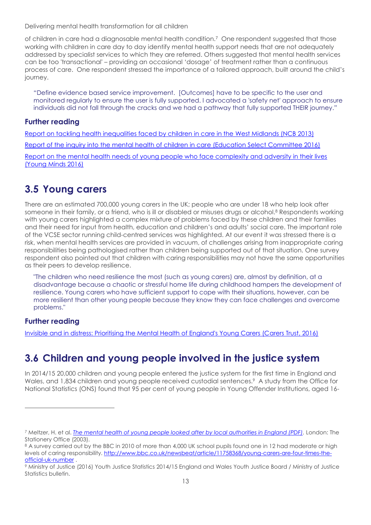of children in care had a diagnosable mental health condition.<sup>7</sup> One respondent suggested that those working with children in care day to day identify mental health support needs that are not adequately addressed by specialist services to which they are referred. Others suggested that mental health services can be too 'transactional' – providing an occasional 'dosage' of treatment rather than a continuous process of care. One respondent stressed the importance of a tailored approach, built around the child's journey.

"Define evidence based service improvement. [Outcomes] have to be specific to the user and monitored regularly to ensure the user is fully supported. I advocated a 'safety net' approach to ensure individuals did not fall through the cracks and we had a pathway that fully supported THEIR journey."

#### **Further reading**

[Report on tackling health inequalities faced by children in care in the West Midlands \(NCB 2013\)](https://www.ncb.org.uk/sites/default/files/field/attachment/regions%20tackling%20health%20inequalities_final_report.pdf) [Report of the inquiry into the mental health of children in care \(Education Select Committee 2016\)](https://www.parliament.uk/business/committees/committees-a-z/commons-select/education-committee/inquiries/parliament-2015/mental-health-children-15-16/) [Report on the mental health needs of young people who face complexity and adversity in their lives](http://www.youngminds.org.uk/beyondadversity)  [\(Young Minds 2016\)](http://www.youngminds.org.uk/beyondadversity)

## **3.5 Young carers**

There are an estimated 700,000 young carers in the UK; people who are under 18 who help look after someone in their family, or a friend, who is ill or disabled or misuses drugs or alcohol.<sup>8</sup> Respondents working with young carers highlighted a complex mixture of problems faced by these children and their families and their need for input from health, education and children's and adults' social care. The important role of the VCSE sector running child-centred services was highlighted. At our event it was stressed there is a risk, when mental health services are provided in vacuum, of challenges arising from inappropriate caring responsibilities being pathologised rather than children being supported out of that situation. One survey respondent also pointed out that children with caring responsibilities may not have the same opportunities as their peers to develop resilience.

"The children who need resilience the most (such as young carers) are, almost by definition, at a disadvantage because a chaotic or stressful home life during childhood hampers the development of resilience. Young carers who have sufficient support to cope with their situations, however, can be more resilient than other young people because they know they can face challenges and overcome problems."

#### **Further reading**

-

[Invisible and in distress: Prioritising the Mental Health of England's Young Carers \(Carers Trust, 2016\)](https://carers.org/invisible-and-distress-prioritising-mental-health-englands-young-carers)

## **3.6 Children and young people involved in the justice system**

In 2014/15 20,000 children and young people entered the justice system for the first time in England and Wales, and 1,834 children and young people received custodial sentences.<sup>9</sup> A study from the Office for National Statistics (ONS) found that 95 per cent of young people in Young Offender Institutions, aged 16-

<sup>7</sup> Meltzer, H. et al. *[The mental health of young people looked after by local authorities in England \(PDF\).](http://www.ons.gov.uk/ons/rel/psychiatric-morbidity/mental-health-of-young-people-looked-after-by-local-authorities/2002-survey/mental-health-of-young-people-looked-after-by-local-authorities-in-england.pdf)* London: The Stationery Office (2003).

<sup>&</sup>lt;sup>8</sup> A survey carried out by the BBC in 2010 of more than 4,000 UK school pupils found one in 12 had moderate or high levels of caring responsibility. [http://www.bbc.co.uk/newsbeat/article/11758368/young-carers-are-four-times-the](http://www.bbc.co.uk/newsbeat/article/11758368/young-carers-are-four-times-the-official-uk-number)[official-uk-number](http://www.bbc.co.uk/newsbeat/article/11758368/young-carers-are-four-times-the-official-uk-number) .

<sup>9</sup> Ministry of Justice (2016) Youth Justice Statistics 2014/15 England and Wales Youth Justice Board / Ministry of Justice Statistics bulletin.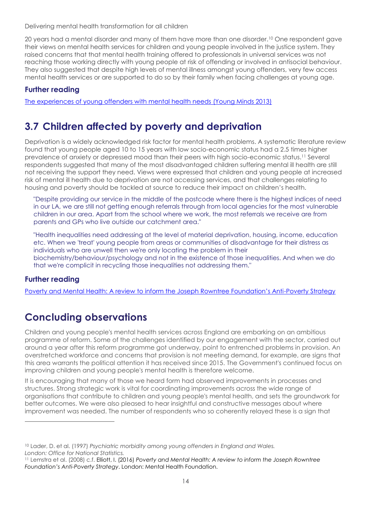20 years had a mental disorder and many of them have more than one disorder.<sup>10</sup> One respondent gave their views on mental health services for children and young people involved in the justice system. They raised concerns that that mental health training offered to professionals in universal services was not reaching those working directly with young people at risk of offending or involved in antisocial behaviour. They also suggested that despite high levels of mental illness amongst young offenders, very few access mental health services or are supported to do so by their family when facing challenges at young age.

#### **Further reading**

[The experiences of young offenders with mental health needs](https://www.youngminds.org.uk/assets/0000/9472/Barrow_Cadbury_Report.pdf) (Young Minds 2013)

## **3.7 Children affected by poverty and deprivation**

Deprivation is a widely acknowledged risk factor for mental health problems. A systematic literature review found that young people aged 10 to 15 years with low socio-economic status had a 2.5 times higher prevalence of anxiety or depressed mood than their peers with high socio-economic status.<sup>11</sup> Several respondents suggested that many of the most disadvantaged children suffering mental ill health are still not receiving the support they need. Views were expressed that children and young people at increased risk of mental ill health due to deprivation are not accessing services, and that challenges relating to housing and poverty should be tackled at source to reduce their impact on children's health.

"Despite providing our service in the middle of the postcode where there is the highest indices of need in our LA, we are still not getting enough referrals through from local agencies for the most vulnerable children in our area. Apart from the school where we work, the most referrals we receive are from parents and GPs who live outside our catchment area."

"Health inequalities need addressing at the level of material deprivation, housing, income, education etc. When we 'treat' young people from areas or communities of disadvantage for their distress as individuals who are unwell then we're only locating the problem in their biochemistry/behaviour/psychology and not in the existence of those inequalities. And when we do that we're complicit in recycling those inequalities not addressing them."

#### **Further reading**

-

[Poverty and Mental Health: A review to inform the Joseph Rowntree Foundation's Anti](https://www.mentalhealth.org.uk/publications/poverty-and-mental-health)-Poverty Strategy

## **Concluding observations**

Children and young people's mental health services across England are embarking on an ambitious programme of reform. Some of the challenges identified by our engagement with the sector, carried out around a year after this reform programme got underway, point to entrenched problems in provision. An overstretched workforce and concerns that provision is not meeting demand, for example, are signs that this area warrants the political attention it has received since 2015. The Government's continued focus on improving children and young people's mental health is therefore welcome.

It is encouraging that many of those we heard form had observed improvements in processes and structures. Strong strategic work is vital for coordinating improvements across the wide range of organisations that contribute to children and young people's mental health, and sets the groundwork for better outcomes. We were also pleased to hear insightful and constructive messages about where improvement was needed. The number of respondents who so coherently relayed these is a sign that

<sup>10</sup> Lader, D. et al. (1997) *Psychiatric morbidity among young offenders in England and Wales. London: Office for National Statistics.*

<sup>11</sup> Lemstra et al. (2008) c.f. Elliott, I. (2016) *Poverty and Mental Health: A review to inform the Joseph Rowntree Foundation's Anti-Poverty Strategy*. London: Mental Health Foundation.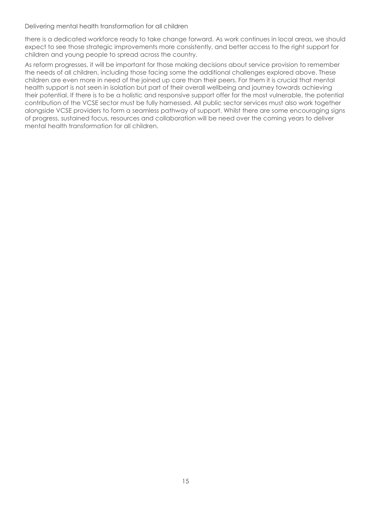there is a dedicated workforce ready to take change forward. As work continues in local areas, we should expect to see those strategic improvements more consistently, and better access to the right support for children and young people to spread across the country.

As reform progresses, it will be important for those making decisions about service provision to remember the needs of all children, including those facing some the additional challenges explored above. These children are even more in need of the joined up care than their peers. For them it is crucial that mental health support is not seen in isolation but part of their overall wellbeing and journey towards achieving their potential. If there is to be a holistic and responsive support offer for the most vulnerable, the potential contribution of the VCSE sector must be fully harnessed. All public sector services must also work together alongside VCSE providers to form a seamless pathway of support. Whilst there are some encouraging signs of progress, sustained focus, resources and collaboration will be need over the coming years to deliver mental health transformation for all children.